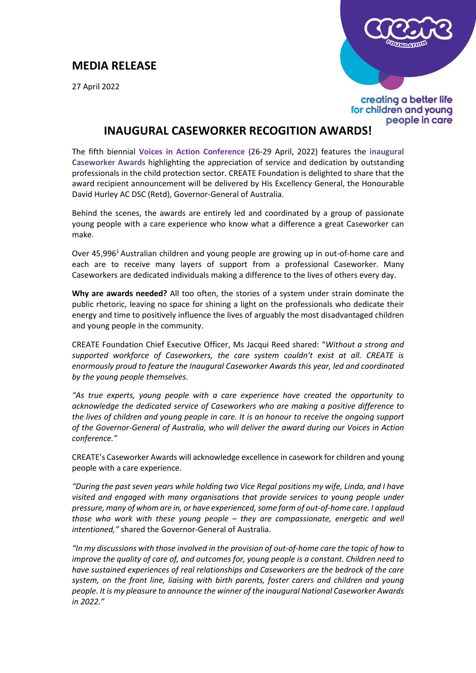## **MEDIA RELEASE**

27 April 2022



creating a better life for children and young people in care

## **INAUGURAL CASEWORKER RECOGITION AWARDS!**

The fifth biennial **Voices in Action Conference (**26-29 April, 2022) features the **inaugural [Caseworker Awards](https://create.org.au/creates-caseworker-awards/)** highlighting the appreciation of service and dedication by outstanding professionals in the child protection sector. CREATE Foundation is delighted to share that the award recipient announcement will be delivered by His Excellency General, the Honourable David Hurley AC DSC (Retd), Governor-General of Australia.

Behind the scenes, the awards are entirely led and coordinated by a group of passionate young people with a care experience who know what a difference a great Caseworker can make.

Over 45,996<sup>1</sup> Australian children and young people are growing up in out-of-home care and each are to receive many layers of support from a professional Caseworker. Many Caseworkers are dedicated individuals making a difference to the lives of others every day.

**Why are awards needed?** All too often, the stories of a system under strain dominate the public rhetoric, leaving no space for shining a light on the professionals who dedicate their energy and time to positively influence the lives of arguably the most disadvantaged children and young people in the community.

CREATE Foundation Chief Executive Officer, Ms Jacqui Reed shared: "*Without a strong and supported workforce of Caseworkers, the care system couldn't exist at all. CREATE is enormously proud to feature the Inaugural Caseworker Awards this year, led and coordinated by the young people themselves.* 

*"As true experts, young people with a care experience have created the opportunity to acknowledge the dedicated service of Caseworkers who are making a positive difference to the lives of children and young people in care. It is an honour to receive the ongoing support of the Governor-General of Australia, who will deliver the award during our Voices in Action conference."* 

CREATE's Caseworker Awards will acknowledge excellence in casework for children and young people with a care experience.

*"During the past seven years while holding two Vice Regal positions my wife, Linda, and I have visited and engaged with many organisations that provide services to young people under pressure, many of whom are in, or have experienced, some form of out-of-home care. I applaud those who work with these young people – they are compassionate, energetic and well intentioned,"* shared the Governor-General of Australia.

*"In my discussions with those involved in the provision of out-of-home care the topic of how to improve the quality of care of, and outcomes for, young people is a constant. Children need to have sustained experiences of real relationships and Caseworkers are the bedrock of the care system, on the front line, liaising with birth parents, foster carers and children and young people. It is my pleasure to announce the winner of the inaugural National Caseworker Awards in 2022."*